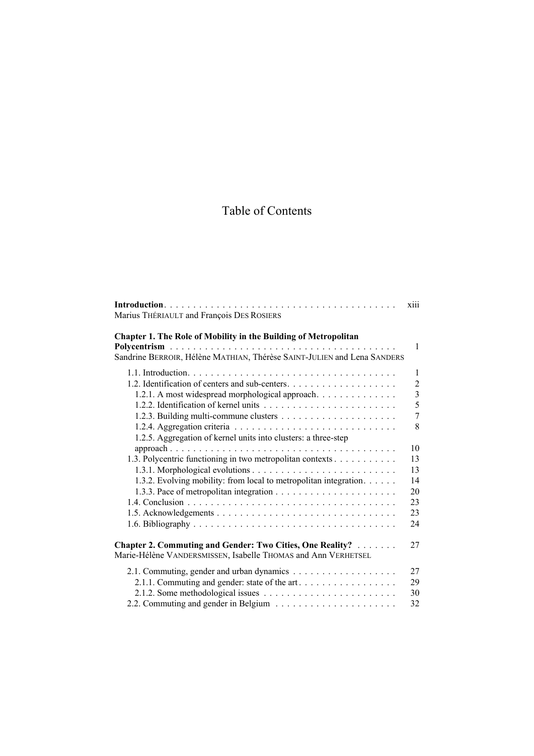## Table of Contents

|                                                                                                                                                                                                  | <b>X111</b>                                                       |
|--------------------------------------------------------------------------------------------------------------------------------------------------------------------------------------------------|-------------------------------------------------------------------|
| Marius THÉRIAULT and François DES ROSIERS                                                                                                                                                        |                                                                   |
| Chapter 1. The Role of Mobility in the Building of Metropolitan<br>Sandrine BERROIR, Hélène MATHIAN, Thérèse SAINT-JULIEN and Lena SANDERS                                                       | $\mathbf{1}$                                                      |
| 1.2.1. A most widespread morphological approach.                                                                                                                                                 | 1<br>$\mathfrak{2}$<br>$\overline{3}$<br>5<br>$\overline{7}$<br>8 |
| 1.2.5. Aggregation of kernel units into clusters: a three-step<br>1.3. Polycentric functioning in two metropolitan contexts<br>1.3.2. Evolving mobility: from local to metropolitan integration. | 10<br>13<br>13<br>14<br>20<br>23<br>23<br>24                      |
| <b>Chapter 2. Commuting and Gender: Two Cities, One Reality?</b><br>Marie-Hélène VANDERSMISSEN, Isabelle THOMAS and Ann VERHETSEL                                                                | 27                                                                |
| 2.1.1. Commuting and gender: state of the art                                                                                                                                                    | 27<br>29<br>30<br>32                                              |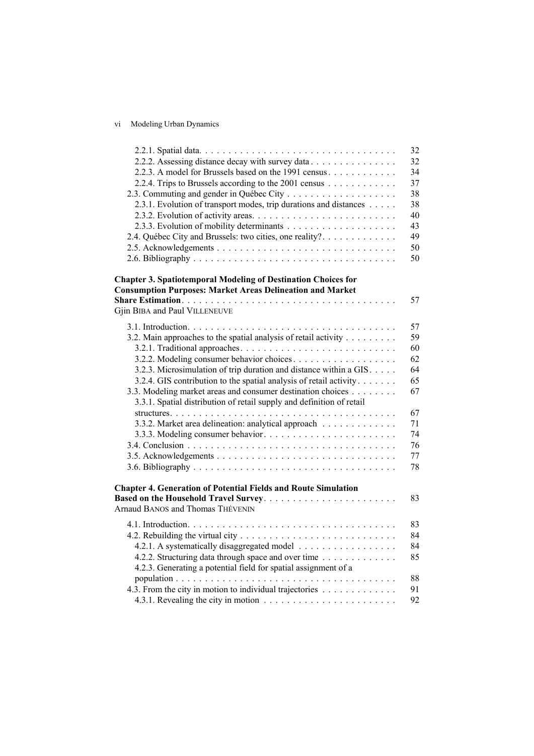## vi Modeling Urban Dynamics

|                                                                       | 32 |
|-----------------------------------------------------------------------|----|
| 2.2.2. Assessing distance decay with survey data                      | 32 |
| 2.2.3. A model for Brussels based on the 1991 census                  | 34 |
| 2.2.4. Trips to Brussels according to the 2001 census                 | 37 |
|                                                                       | 38 |
| 2.3.1. Evolution of transport modes, trip durations and distances     | 38 |
|                                                                       | 40 |
|                                                                       | 43 |
| 2.4. Québec City and Brussels: two cities, one reality?               | 49 |
|                                                                       | 50 |
|                                                                       | 50 |
| <b>Chapter 3. Spatiotemporal Modeling of Destination Choices for</b>  |    |
| <b>Consumption Purposes: Market Areas Delineation and Market</b>      |    |
|                                                                       | 57 |
| Gjin BIBA and Paul VILLENEUVE                                         |    |
|                                                                       | 57 |
| 3.2. Main approaches to the spatial analysis of retail activity       | 59 |
|                                                                       | 60 |
|                                                                       | 62 |
| 3.2.3. Microsimulation of trip duration and distance within a GIS.    | 64 |
| 3.2.4. GIS contribution to the spatial analysis of retail activity    | 65 |
| 3.3. Modeling market areas and consumer destination choices           | 67 |
| 3.3.1. Spatial distribution of retail supply and definition of retail |    |
|                                                                       | 67 |
| 3.3.2. Market area delineation: analytical approach                   | 71 |
|                                                                       | 74 |
|                                                                       | 76 |
|                                                                       | 77 |
|                                                                       | 78 |
| <b>Chapter 4. Generation of Potential Fields and Route Simulation</b> |    |
| Based on the Household Travel Survey                                  | 83 |
| Arnaud BANOS and Thomas THÉVENIN                                      |    |
|                                                                       | 83 |
|                                                                       | 84 |
| 4.2.1. A systematically disaggregated model                           | 84 |
| 4.2.2. Structuring data through space and over time                   | 85 |
| 4.2.3. Generating a potential field for spatial assignment of a       |    |
|                                                                       | 88 |
| 4.3. From the city in motion to individual trajectories               | 91 |
|                                                                       | 92 |
|                                                                       |    |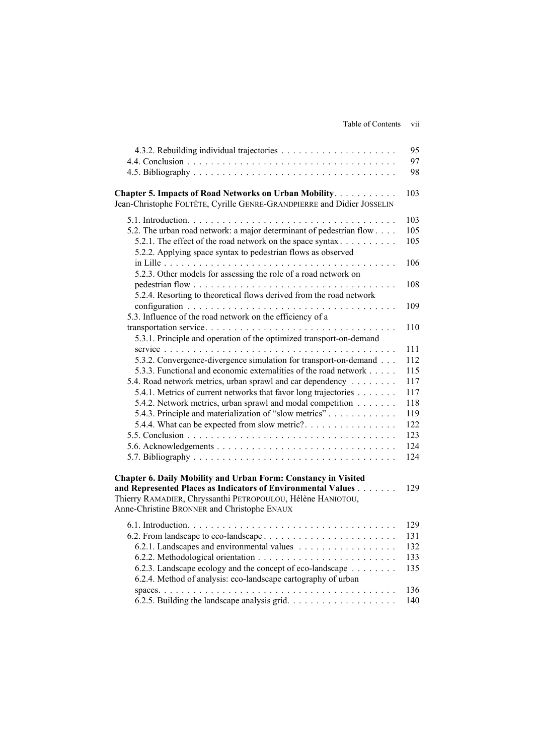| Table of Contents vii |
|-----------------------|
|                       |

|                                                                                                                                                                                                                                                                                                                                                                                                                                                                                                                       | 95<br>97<br>98                                                            |
|-----------------------------------------------------------------------------------------------------------------------------------------------------------------------------------------------------------------------------------------------------------------------------------------------------------------------------------------------------------------------------------------------------------------------------------------------------------------------------------------------------------------------|---------------------------------------------------------------------------|
| Chapter 5. Impacts of Road Networks on Urban Mobility.<br>Jean-Christophe FOLTÊTE, Cyrille GENRE-GRANDPIERRE and Didier JOSSELIN                                                                                                                                                                                                                                                                                                                                                                                      | 103                                                                       |
| 5.2. The urban road network: a major determinant of pedestrian flow<br>5.2.1. The effect of the road network on the space syntax<br>5.2.2. Applying space syntax to pedestrian flows as observed<br>5.2.3. Other models for assessing the role of a road network on<br>5.2.4. Resorting to theoretical flows derived from the road network                                                                                                                                                                            | 103<br>105<br>105<br>106<br>108<br>109                                    |
| 5.3. Influence of the road network on the efficiency of a                                                                                                                                                                                                                                                                                                                                                                                                                                                             | 110                                                                       |
| 5.3.1. Principle and operation of the optimized transport-on-demand<br>5.3.2. Convergence-divergence simulation for transport-on-demand<br>5.3.3. Functional and economic externalities of the road network<br>5.4. Road network metrics, urban sprawl and car dependency<br>5.4.1. Metrics of current networks that favor long trajectories<br>5.4.2. Network metrics, urban sprawl and modal competition<br>5.4.3. Principle and materialization of "slow metrics"<br>5.4.4. What can be expected from slow metric? | 111<br>112<br>115<br>117<br>117<br>118<br>119<br>122<br>123<br>124<br>124 |
| Chapter 6. Daily Mobility and Urban Form: Constancy in Visited<br>and Represented Places as Indicators of Environmental Values<br>Thierry RAMADIER, Chryssanthi PETROPOULOU, Hélène HANIOTOU,<br>Anne-Christine BRONNER and Christophe ENAUX                                                                                                                                                                                                                                                                          | 129                                                                       |
| 6.2.3. Landscape ecology and the concept of eco-landscape<br>6.2.4. Method of analysis: eco-landscape cartography of urban                                                                                                                                                                                                                                                                                                                                                                                            | 129<br>131<br>132<br>133<br>135<br>136<br>140                             |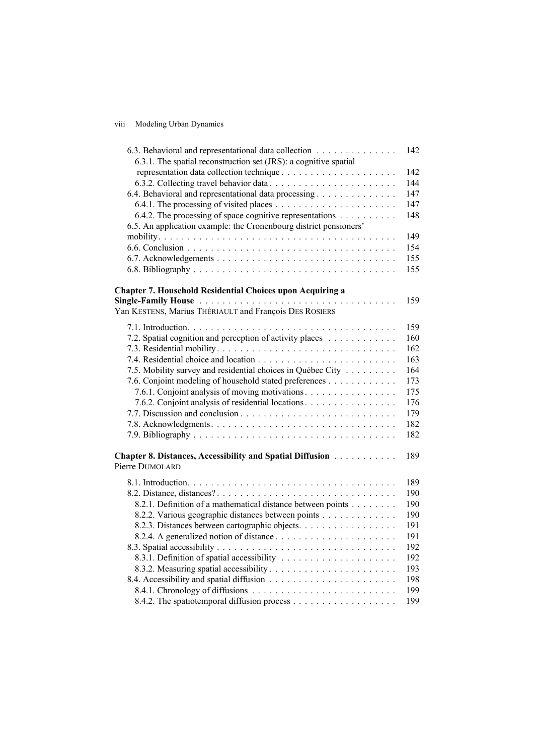## viii Modeling Urban Dynamics

| 6.3. Behavioral and representational data collection<br>6.3.1. The spatial reconstruction set (JRS): a cognitive spatial | 142 |
|--------------------------------------------------------------------------------------------------------------------------|-----|
|                                                                                                                          | 142 |
|                                                                                                                          | 144 |
| 6.4. Behavioral and representational data processing                                                                     | 147 |
|                                                                                                                          |     |
|                                                                                                                          | 147 |
| 6.4.2. The processing of space cognitive representations $\dots \dots \dots$                                             | 148 |
| 6.5. An application example: the Cronenbourg district pensioners'                                                        |     |
|                                                                                                                          | 149 |
|                                                                                                                          | 154 |
|                                                                                                                          | 155 |
|                                                                                                                          | 155 |
| <b>Chapter 7. Household Residential Choices upon Acquiring a</b>                                                         |     |
|                                                                                                                          | 159 |
| Yan KESTENS, Marius THÉRIAULT and François DES ROSIERS                                                                   |     |
|                                                                                                                          | 159 |
| 7.2. Spatial cognition and perception of activity places                                                                 | 160 |
|                                                                                                                          | 162 |
|                                                                                                                          | 163 |
|                                                                                                                          |     |
| 7.5. Mobility survey and residential choices in Québec City                                                              | 164 |
| 7.6. Conjoint modeling of household stated preferences                                                                   | 173 |
| 7.6.1. Conjoint analysis of moving motivations.                                                                          | 175 |
| 7.6.2. Conjoint analysis of residential locations.                                                                       | 176 |
|                                                                                                                          | 179 |
|                                                                                                                          | 182 |
|                                                                                                                          | 182 |
| Chapter 8. Distances, Accessibility and Spatial Diffusion                                                                | 189 |
| Pierre DUMOLARD                                                                                                          |     |
|                                                                                                                          | 189 |
|                                                                                                                          | 190 |
| 8.2.1. Definition of a mathematical distance between points                                                              | 190 |
| 8.2.2. Various geographic distances between points                                                                       | 190 |
| 8.2.3. Distances between cartographic objects.                                                                           | 191 |
|                                                                                                                          | 191 |
|                                                                                                                          | 192 |
|                                                                                                                          | 192 |
|                                                                                                                          |     |
|                                                                                                                          | 193 |
|                                                                                                                          | 198 |
|                                                                                                                          | 199 |
|                                                                                                                          | 199 |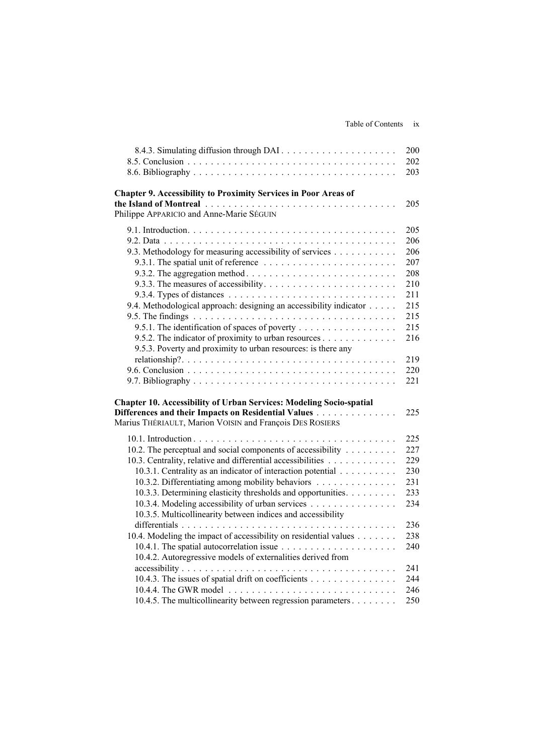|                                                                            | 200 |
|----------------------------------------------------------------------------|-----|
|                                                                            | 202 |
|                                                                            | 203 |
| <b>Chapter 9. Accessibility to Proximity Services in Poor Areas of</b>     |     |
|                                                                            | 205 |
| Philippe APPARICIO and Anne-Marie SÉGUIN                                   |     |
|                                                                            | 205 |
|                                                                            | 206 |
| 9.3. Methodology for measuring accessibility of services                   | 206 |
|                                                                            | 207 |
|                                                                            | 208 |
|                                                                            | 210 |
|                                                                            | 211 |
| 9.4. Methodological approach: designing an accessibility indicator         | 215 |
|                                                                            | 215 |
| 9.5.1. The identification of spaces of poverty                             | 215 |
|                                                                            | 216 |
| 9.5.3. Poverty and proximity to urban resources: is there any              |     |
|                                                                            | 219 |
|                                                                            | 220 |
|                                                                            | 221 |
| <b>Chapter 10. Accessibility of Urban Services: Modeling Socio-spatial</b> |     |
| Differences and their Impacts on Residential Values                        | 225 |
| Marius THÉRIAULT, Marion VOISIN and François DES ROSIERS                   |     |
|                                                                            | 225 |
| 10.2. The perceptual and social components of accessibility                | 227 |
| 10.3. Centrality, relative and differential accessibilities                | 229 |
| 10.3.1. Centrality as an indicator of interaction potential                | 230 |
| 10.3.2. Differentiating among mobility behaviors                           | 231 |
| 10.3.3. Determining elasticity thresholds and opportunities.               | 233 |
| 10.3.4. Modeling accessibility of urban services                           | 234 |
| 10.3.5. Multicollinearity between indices and accessibility                |     |
|                                                                            | 236 |
| 10.4. Modeling the impact of accessibility on residential values           | 238 |
|                                                                            | 240 |
| 10.4.2. Autoregressive models of externalities derived from                |     |
|                                                                            | 241 |
| 10.4.3. The issues of spatial drift on coefficients                        | 244 |
|                                                                            | 246 |
| 10.4.5. The multicollinearity between regression parameters                | 250 |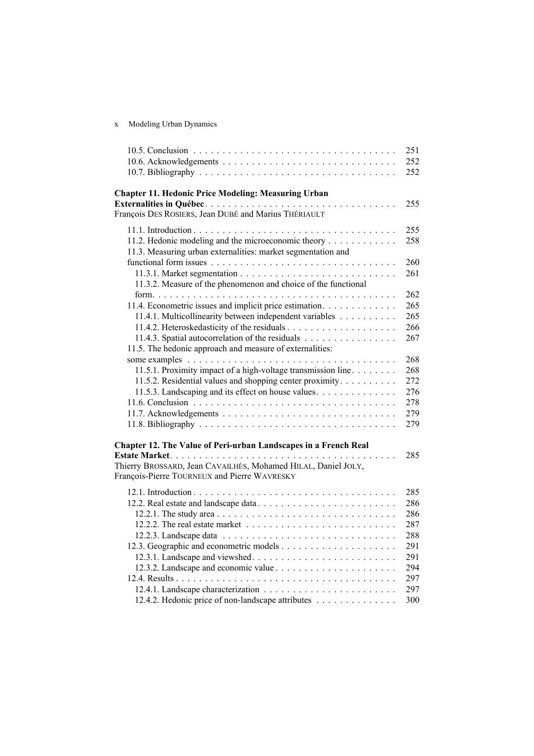x Modeling Urban Dynamics

|                                                                 | 251        |
|-----------------------------------------------------------------|------------|
|                                                                 | 252        |
|                                                                 | 252        |
|                                                                 |            |
| <b>Chapter 11. Hedonic Price Modeling: Measuring Urban</b>      |            |
|                                                                 | 255        |
| François DES ROSIERS, Jean DUBÉ and Marius THÉRIAULT            |            |
|                                                                 | 255        |
| 11.2. Hedonic modeling and the microeconomic theory             | 258        |
| 11.3. Measuring urban externalities: market segmentation and    |            |
|                                                                 | 260        |
|                                                                 | 261        |
| 11.3.2. Measure of the phenomenon and choice of the functional  |            |
|                                                                 | 262        |
| 11.4. Econometric issues and implicit price estimation.         | 265        |
| 11.4.1. Multicollinearity between independent variables         | 265        |
|                                                                 | 266        |
| 11.4.3. Spatial autocorrelation of the residuals                | 267        |
| 11.5. The hedonic approach and measure of externalities:        |            |
|                                                                 | 268        |
| 11.5.1. Proximity impact of a high-voltage transmission line    | 268        |
| 11.5.2. Residential values and shopping center proximity        | 272        |
| 11.5.3. Landscaping and its effect on house values.             | 276        |
|                                                                 | 278        |
|                                                                 | 279        |
|                                                                 | 279        |
| Chapter 12. The Value of Peri-urban Landscapes in a French Real |            |
|                                                                 | 285        |
| Thierry BROSSARD, Jean CAVAILHÈS, Mohamed HILAL, Daniel JOLY,   |            |
| François-Pierre TOURNEUX and Pierre WAVRESKY                    |            |
|                                                                 |            |
|                                                                 | 285        |
|                                                                 | 286        |
|                                                                 | 286<br>287 |
|                                                                 | 288        |
|                                                                 | 291        |
|                                                                 | 291        |
|                                                                 | 294        |
|                                                                 | 297        |
|                                                                 | 297        |
| 12.4.2. Hedonic price of non-landscape attributes               | 300        |
|                                                                 |            |